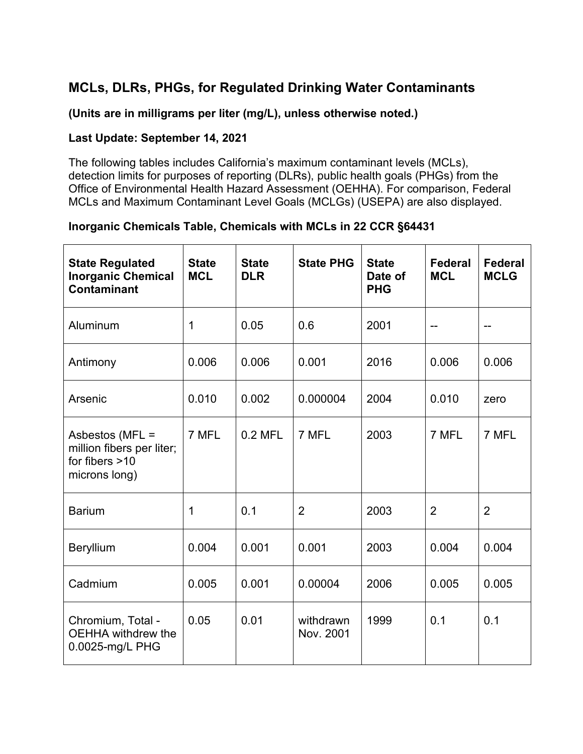## **MCLs, DLRs, PHGs, for Regulated Drinking Water Contaminants**

**(Units are in milligrams per liter (mg/L), unless otherwise noted.)**

#### **Last Update: September 14, 2021**

The following tables includes California's maximum contaminant levels (MCLs), detection limits for purposes of reporting (DLRs), public health goals (PHGs) from the Office of Environmental Health Hazard Assessment (OEHHA). For comparison, Federal MCLs and Maximum Contaminant Level Goals (MCLGs) (USEPA) are also displayed.

### **Inorganic Chemicals Table, Chemicals with MCLs in 22 CCR §64431**

| <b>State Regulated</b><br><b>Inorganic Chemical</b><br><b>Contaminant</b>         | <b>State</b><br><b>MCL</b> | <b>State</b><br><b>DLR</b> | <b>State PHG</b>       | <b>State</b><br>Date of<br><b>PHG</b> | <b>Federal</b><br><b>MCL</b> | <b>Federal</b><br><b>MCLG</b> |
|-----------------------------------------------------------------------------------|----------------------------|----------------------------|------------------------|---------------------------------------|------------------------------|-------------------------------|
| Aluminum                                                                          | 1                          | 0.05                       | 0.6                    | 2001                                  |                              |                               |
| Antimony                                                                          | 0.006                      | 0.006                      | 0.001                  | 2016                                  | 0.006                        | 0.006                         |
| Arsenic                                                                           | 0.010                      | 0.002                      | 0.000004               | 2004                                  | 0.010                        | zero                          |
| Asbestos (MFL =<br>million fibers per liter;<br>for fibers $>10$<br>microns long) | 7 MFL                      | $0.2$ MFL                  | 7 MFL                  | 2003                                  | 7 MFL                        | 7 MFL                         |
| <b>Barium</b>                                                                     | 1                          | 0.1                        | $\overline{2}$         | 2003                                  | 2                            | $\overline{2}$                |
| Beryllium                                                                         | 0.004                      | 0.001                      | 0.001                  | 2003                                  | 0.004                        | 0.004                         |
| Cadmium                                                                           | 0.005                      | 0.001                      | 0.00004                | 2006                                  | 0.005                        | 0.005                         |
| Chromium, Total -<br><b>OEHHA</b> withdrew the<br>0.0025-mg/L PHG                 | 0.05                       | 0.01                       | withdrawn<br>Nov. 2001 | 1999                                  | 0.1                          | 0.1                           |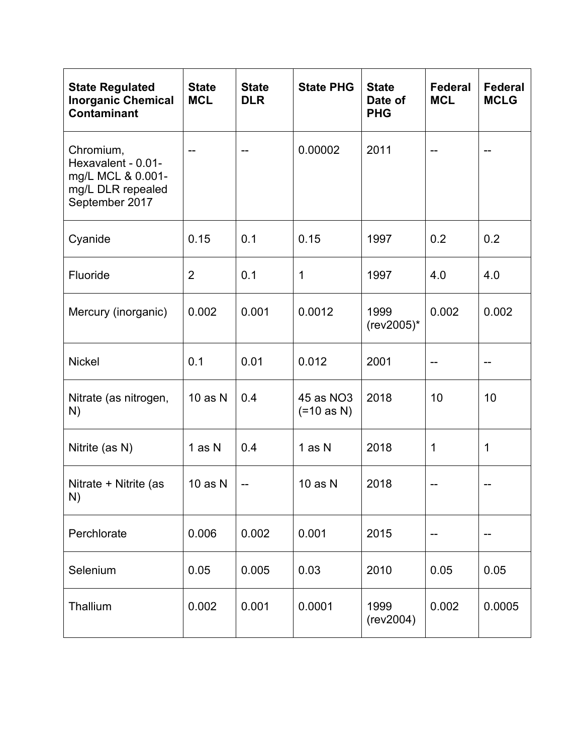| <b>State Regulated</b><br><b>Inorganic Chemical</b><br><b>Contaminant</b>                   | <b>State</b><br><b>MCL</b> | <b>State</b><br><b>DLR</b> | <b>State PHG</b>          | <b>State</b><br>Date of<br><b>PHG</b> | <b>Federal</b><br><b>MCL</b> | <b>Federal</b><br><b>MCLG</b> |
|---------------------------------------------------------------------------------------------|----------------------------|----------------------------|---------------------------|---------------------------------------|------------------------------|-------------------------------|
| Chromium,<br>Hexavalent - 0.01-<br>mg/L MCL & 0.001-<br>mg/L DLR repealed<br>September 2017 |                            |                            | 0.00002                   | 2011                                  |                              |                               |
| Cyanide                                                                                     | 0.15                       | 0.1                        | 0.15                      | 1997                                  | 0.2                          | 0.2                           |
| Fluoride                                                                                    | $\overline{2}$             | 0.1                        | $\mathbf 1$               | 1997                                  | 4.0                          | 4.0                           |
| Mercury (inorganic)                                                                         | 0.002                      | 0.001                      | 0.0012                    | 1999<br>(rev2005)*                    | 0.002                        | 0.002                         |
| <b>Nickel</b>                                                                               | 0.1                        | 0.01                       | 0.012                     | 2001                                  | --                           | --                            |
| Nitrate (as nitrogen,<br>N)                                                                 | $10$ as $N$                | 0.4                        | 45 as NO3<br>$(=10$ as N) | 2018                                  | 10                           | 10                            |
| Nitrite (as N)                                                                              | 1 as N                     | 0.4                        | 1 as N                    | 2018                                  | 1                            | 1                             |
| Nitrate + Nitrite (as<br>N)                                                                 | $10$ as N                  |                            | $10$ as $N$               | 2018                                  |                              |                               |
| Perchlorate                                                                                 | 0.006                      | 0.002                      | 0.001                     | 2015                                  |                              |                               |
| Selenium                                                                                    | 0.05                       | 0.005                      | 0.03                      | 2010                                  | 0.05                         | 0.05                          |
| Thallium                                                                                    | 0.002                      | 0.001                      | 0.0001                    | 1999<br>(rev2004)                     | 0.002                        | 0.0005                        |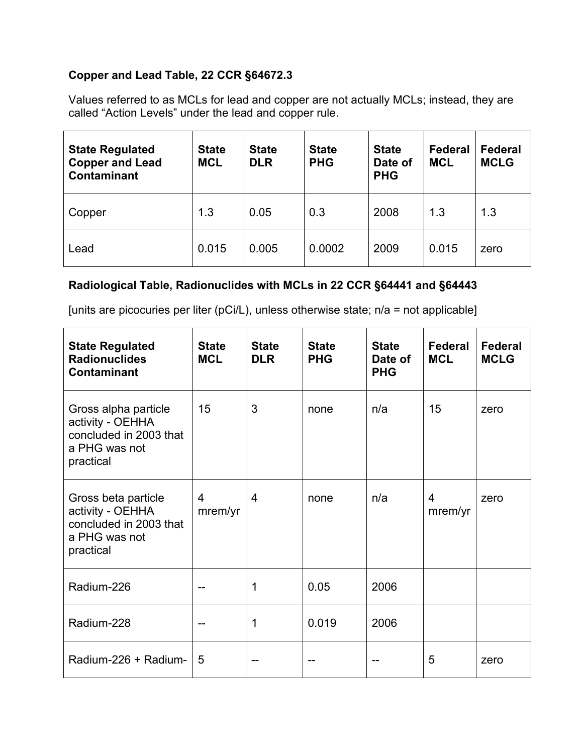### **Copper and Lead Table, 22 CCR §64672.3**

Values referred to as MCLs for lead and copper are not actually MCLs; instead, they are called "Action Levels" under the lead and copper rule.

| <b>State Regulated</b><br><b>Copper and Lead</b><br><b>Contaminant</b> | <b>State</b><br><b>MCL</b> | <b>State</b><br><b>DLR</b> | <b>State</b><br><b>PHG</b> | <b>State</b><br>Date of<br><b>PHG</b> | <b>Federal</b><br><b>MCL</b> | Federal<br><b>MCLG</b> |
|------------------------------------------------------------------------|----------------------------|----------------------------|----------------------------|---------------------------------------|------------------------------|------------------------|
| Copper                                                                 | 1.3                        | 0.05                       | 0.3                        | 2008                                  | 1.3                          | 1.3                    |
| Lead                                                                   | 0.015                      | 0.005                      | 0.0002                     | 2009                                  | 0.015                        | zero                   |

#### **Radiological Table, Radionuclides with MCLs in 22 CCR §64441 and §64443**

[units are picocuries per liter (pCi/L), unless otherwise state; n/a = not applicable]

| <b>State Regulated</b><br><b>Radionuclides</b><br><b>Contaminant</b>                             | <b>State</b><br><b>MCL</b> | <b>State</b><br><b>DLR</b> | <b>State</b><br><b>PHG</b> | <b>State</b><br>Date of<br><b>PHG</b> | Federal<br><b>MCL</b>     | <b>Federal</b><br><b>MCLG</b> |
|--------------------------------------------------------------------------------------------------|----------------------------|----------------------------|----------------------------|---------------------------------------|---------------------------|-------------------------------|
| Gross alpha particle<br>activity - OEHHA<br>concluded in 2003 that<br>a PHG was not<br>practical | 15                         | 3                          | none                       | n/a                                   | 15                        | zero                          |
| Gross beta particle<br>activity - OEHHA<br>concluded in 2003 that<br>a PHG was not<br>practical  | $\overline{4}$<br>mrem/yr  | $\overline{4}$             | none                       | n/a                                   | $\overline{4}$<br>mrem/yr | zero                          |
| Radium-226                                                                                       |                            | 1                          | 0.05                       | 2006                                  |                           |                               |
| Radium-228                                                                                       |                            | 1                          | 0.019                      | 2006                                  |                           |                               |
| Radium-226 + Radium-                                                                             | 5                          |                            |                            |                                       | 5                         | zero                          |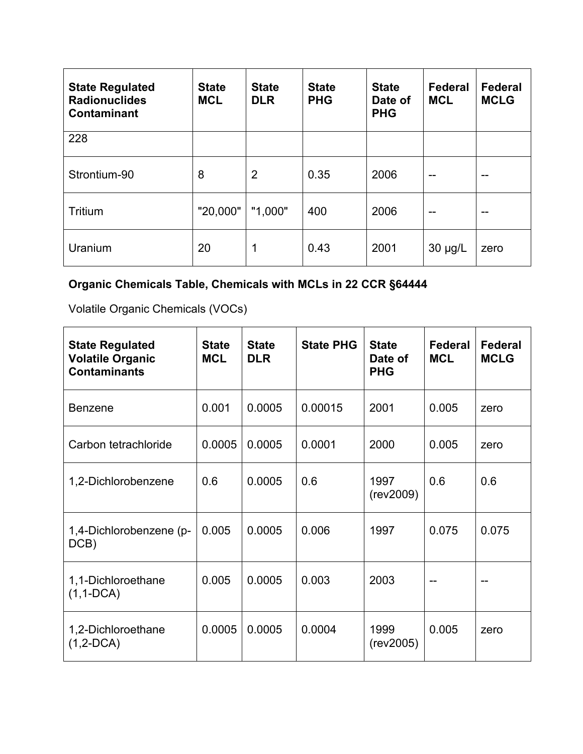| <b>State Regulated</b><br><b>Radionuclides</b><br><b>Contaminant</b> | <b>State</b><br><b>MCL</b> | <b>State</b><br><b>DLR</b> | <b>State</b><br><b>PHG</b> | <b>State</b><br>Date of<br><b>PHG</b> | Federal<br><b>MCL</b> | <b>Federal</b><br><b>MCLG</b> |
|----------------------------------------------------------------------|----------------------------|----------------------------|----------------------------|---------------------------------------|-----------------------|-------------------------------|
| 228                                                                  |                            |                            |                            |                                       |                       |                               |
| Strontium-90                                                         | 8                          | $\overline{2}$             | 0.35                       | 2006                                  | --                    | --                            |
| Tritium                                                              | "20,000"                   | "1,000"                    | 400                        | 2006                                  | --                    | --                            |
| Uranium                                                              | 20                         | 1                          | 0.43                       | 2001                                  | $30 \mu g/L$          | zero                          |

# **Organic Chemicals Table, Chemicals with MCLs in 22 CCR §64444**

Volatile Organic Chemicals (VOCs)

| <b>State Regulated</b><br><b>Volatile Organic</b><br><b>Contaminants</b> | <b>State</b><br><b>MCL</b> | <b>State</b><br><b>DLR</b> | <b>State PHG</b> | <b>State</b><br>Date of<br><b>PHG</b> | Federal<br><b>MCL</b> | Federal<br><b>MCLG</b> |
|--------------------------------------------------------------------------|----------------------------|----------------------------|------------------|---------------------------------------|-----------------------|------------------------|
| <b>Benzene</b>                                                           | 0.001                      | 0.0005                     | 0.00015          | 2001                                  | 0.005                 | zero                   |
| Carbon tetrachloride                                                     | 0.0005                     | 0.0005                     | 0.0001           | 2000                                  | 0.005                 | zero                   |
| 1,2-Dichlorobenzene                                                      | 0.6                        | 0.0005                     | 0.6              | 1997<br>(rev2009)                     | 0.6                   | 0.6                    |
| 1,4-Dichlorobenzene (p-<br>DCB)                                          | 0.005                      | 0.0005                     | 0.006            | 1997                                  | 0.075                 | 0.075                  |
| 1,1-Dichloroethane<br>$(1,1-DCA)$                                        | 0.005                      | 0.0005                     | 0.003            | 2003                                  |                       |                        |
| 1,2-Dichloroethane<br>$(1, 2-DCA)$                                       | 0.0005                     | 0.0005                     | 0.0004           | 1999<br>(rev2005)                     | 0.005                 | zero                   |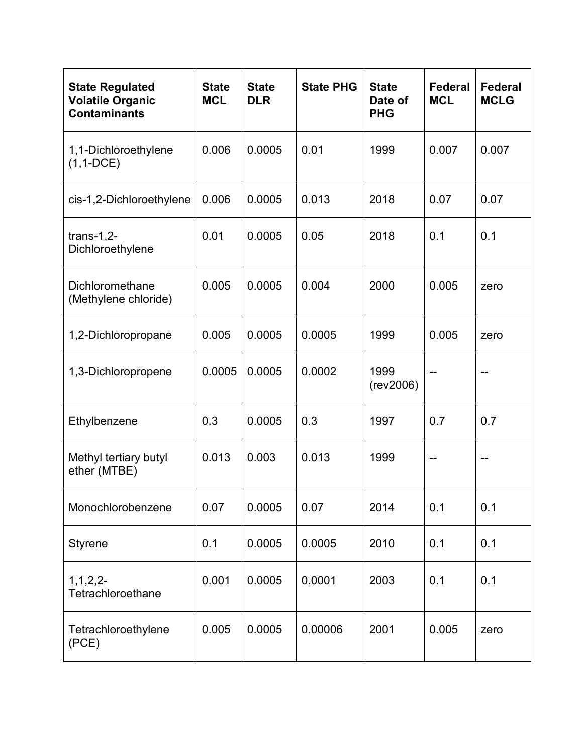| <b>State Regulated</b><br><b>Volatile Organic</b><br><b>Contaminants</b> | <b>State</b><br><b>MCL</b> | <b>State</b><br><b>DLR</b> | <b>State PHG</b> | <b>State</b><br>Date of<br><b>PHG</b> | Federal<br><b>MCL</b> | <b>Federal</b><br><b>MCLG</b> |
|--------------------------------------------------------------------------|----------------------------|----------------------------|------------------|---------------------------------------|-----------------------|-------------------------------|
| 1,1-Dichloroethylene<br>$(1, 1$ -DCE)                                    | 0.006                      | 0.0005                     | 0.01             | 1999                                  | 0.007                 | 0.007                         |
| cis-1,2-Dichloroethylene                                                 | 0.006                      | 0.0005                     | 0.013            | 2018                                  | 0.07                  | 0.07                          |
| trans-1,2-<br>Dichloroethylene                                           | 0.01                       | 0.0005                     | 0.05             | 2018                                  | 0.1                   | 0.1                           |
| Dichloromethane<br>(Methylene chloride)                                  | 0.005                      | 0.0005                     | 0.004            | 2000                                  | 0.005                 | zero                          |
| 1,2-Dichloropropane                                                      | 0.005                      | 0.0005                     | 0.0005           | 1999                                  | 0.005                 | zero                          |
| 1,3-Dichloropropene                                                      | 0.0005                     | 0.0005                     | 0.0002           | 1999<br>(rev2006)                     |                       |                               |
| Ethylbenzene                                                             | 0.3                        | 0.0005                     | 0.3              | 1997                                  | 0.7                   | 0.7                           |
| Methyl tertiary butyl<br>ether (MTBE)                                    | 0.013                      | 0.003                      | 0.013            | 1999                                  |                       |                               |
| Monochlorobenzene                                                        | 0.07                       | 0.0005                     | 0.07             | 2014                                  | 0.1                   | 0.1                           |
| <b>Styrene</b>                                                           | 0.1                        | 0.0005                     | 0.0005           | 2010                                  | 0.1                   | 0.1                           |
| 1, 1, 2, 2<br>Tetrachloroethane                                          | 0.001                      | 0.0005                     | 0.0001           | 2003                                  | 0.1                   | 0.1                           |
| Tetrachloroethylene<br>(PCE)                                             | 0.005                      | 0.0005                     | 0.00006          | 2001                                  | 0.005                 | zero                          |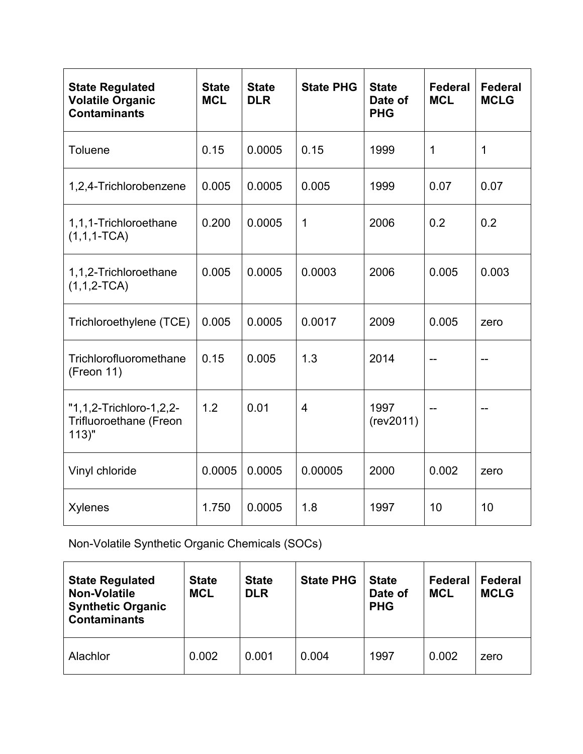| <b>State Regulated</b><br><b>Volatile Organic</b><br><b>Contaminants</b> | <b>State</b><br><b>MCL</b> | <b>State</b><br><b>DLR</b> | <b>State PHG</b> | <b>State</b><br>Date of<br><b>PHG</b> | <b>Federal</b><br><b>MCL</b> | <b>Federal</b><br><b>MCLG</b> |
|--------------------------------------------------------------------------|----------------------------|----------------------------|------------------|---------------------------------------|------------------------------|-------------------------------|
| <b>Toluene</b>                                                           | 0.15                       | 0.0005                     | 0.15             | 1999                                  | $\mathbf 1$                  | 1                             |
| 1,2,4-Trichlorobenzene                                                   | 0.005                      | 0.0005                     | 0.005            | 1999                                  | 0.07                         | 0.07                          |
| 1,1,1-Trichloroethane<br>$(1,1,1-TCA)$                                   | 0.200                      | 0.0005                     | $\mathbf 1$      | 2006                                  | 0.2                          | 0.2                           |
| 1,1,2-Trichloroethane<br>$(1,1,2-TCA)$                                   | 0.005                      | 0.0005                     | 0.0003           | 2006                                  | 0.005                        | 0.003                         |
| Trichloroethylene (TCE)                                                  | 0.005                      | 0.0005                     | 0.0017           | 2009                                  | 0.005                        | zero                          |
| Trichlorofluoromethane<br>(Freon 11)                                     | 0.15                       | 0.005                      | 1.3              | 2014                                  |                              |                               |
| "1,1,2-Trichloro-1,2,2-<br><b>Trifluoroethane (Freon</b><br>$113$ "      | 1.2                        | 0.01                       | $\overline{4}$   | 1997<br>(rev2011)                     |                              |                               |
| Vinyl chloride                                                           | 0.0005                     | 0.0005                     | 0.00005          | 2000                                  | 0.002                        | zero                          |
| <b>Xylenes</b>                                                           | 1.750                      | 0.0005                     | 1.8              | 1997                                  | 10                           | 10                            |

Non-Volatile Synthetic Organic Chemicals (SOCs)

| <b>State Regulated</b><br><b>Non-Volatile</b><br><b>Synthetic Organic</b><br><b>Contaminants</b> | <b>State</b><br><b>MCL</b> | <b>State</b><br><b>DLR</b> | <b>State PHG</b> | <b>State</b><br>Date of<br><b>PHG</b> | <b>Federal</b><br><b>MCL</b> | <b>Federal</b><br><b>MCLG</b> |
|--------------------------------------------------------------------------------------------------|----------------------------|----------------------------|------------------|---------------------------------------|------------------------------|-------------------------------|
| Alachlor                                                                                         | 0.002                      | 0.001                      | 0.004            | 1997                                  | 0.002                        | zero                          |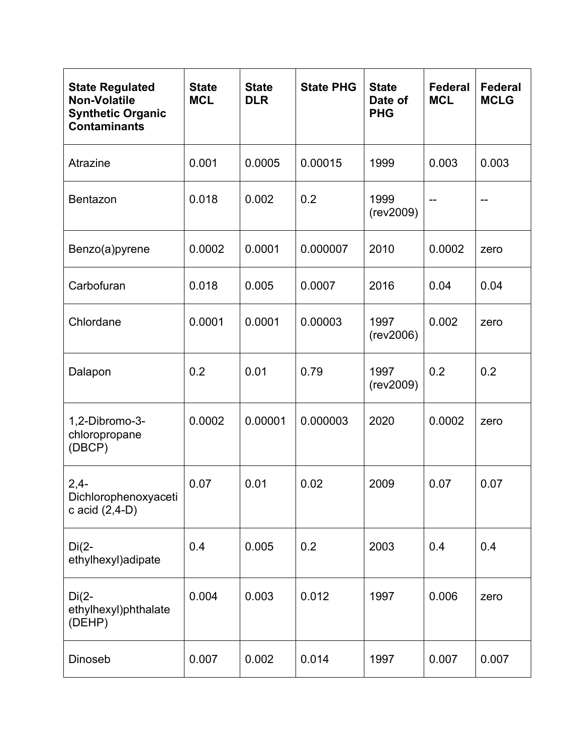| <b>State Regulated</b><br><b>Non-Volatile</b><br><b>Synthetic Organic</b><br><b>Contaminants</b> | <b>State</b><br><b>MCL</b> | <b>State</b><br><b>DLR</b> | <b>State PHG</b> | <b>State</b><br>Date of<br><b>PHG</b> | <b>Federal</b><br><b>MCL</b> | <b>Federal</b><br><b>MCLG</b> |
|--------------------------------------------------------------------------------------------------|----------------------------|----------------------------|------------------|---------------------------------------|------------------------------|-------------------------------|
| Atrazine                                                                                         | 0.001                      | 0.0005                     | 0.00015          | 1999                                  | 0.003                        | 0.003                         |
| Bentazon                                                                                         | 0.018                      | 0.002                      | 0.2              | 1999<br>(rev2009)                     |                              |                               |
| Benzo(a)pyrene                                                                                   | 0.0002                     | 0.0001                     | 0.000007         | 2010                                  | 0.0002                       | zero                          |
| Carbofuran                                                                                       | 0.018                      | 0.005                      | 0.0007           | 2016                                  | 0.04                         | 0.04                          |
| Chlordane                                                                                        | 0.0001                     | 0.0001                     | 0.00003          | 1997<br>(rev2006)                     | 0.002                        | zero                          |
| Dalapon                                                                                          | 0.2                        | 0.01                       | 0.79             | 1997<br>(rev2009)                     | 0.2                          | 0.2                           |
| 1,2-Dibromo-3-<br>chloropropane<br>(DBCP)                                                        | 0.0002                     | 0.00001                    | 0.000003         | 2020                                  | 0.0002                       | zero                          |
| $2,4-$<br>Dichlorophenoxyaceti<br>c acid $(2,4-D)$                                               | 0.07                       | 0.01                       | 0.02             | 2009                                  | 0.07                         | 0.07                          |
| $Di(2-$<br>ethylhexyl)adipate                                                                    | 0.4                        | 0.005                      | 0.2              | 2003                                  | 0.4                          | 0.4                           |
| $Di(2-$<br>ethylhexyl)phthalate<br>(DEHP)                                                        | 0.004                      | 0.003                      | 0.012            | 1997                                  | 0.006                        | zero                          |
| Dinoseb                                                                                          | 0.007                      | 0.002                      | 0.014            | 1997                                  | 0.007                        | 0.007                         |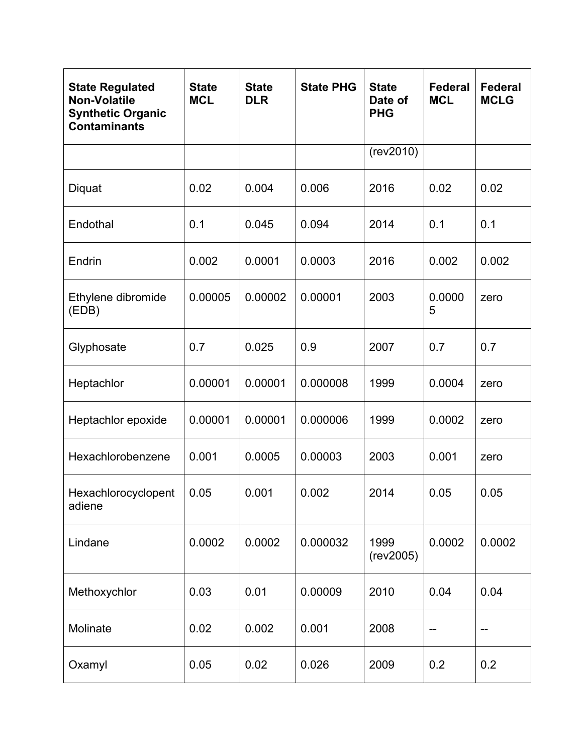| <b>State Regulated</b><br><b>Non-Volatile</b><br><b>Synthetic Organic</b><br><b>Contaminants</b> | <b>State</b><br><b>MCL</b> | <b>State</b><br><b>DLR</b> | <b>State PHG</b> | <b>State</b><br>Date of<br><b>PHG</b> | <b>Federal</b><br><b>MCL</b> | <b>Federal</b><br><b>MCLG</b> |
|--------------------------------------------------------------------------------------------------|----------------------------|----------------------------|------------------|---------------------------------------|------------------------------|-------------------------------|
|                                                                                                  |                            |                            |                  | (rev2010)                             |                              |                               |
| Diquat                                                                                           | 0.02                       | 0.004                      | 0.006            | 2016                                  | 0.02                         | 0.02                          |
| Endothal                                                                                         | 0.1                        | 0.045                      | 0.094            | 2014                                  | 0.1                          | 0.1                           |
| Endrin                                                                                           | 0.002                      | 0.0001                     | 0.0003           | 2016                                  | 0.002                        | 0.002                         |
| Ethylene dibromide<br>(EDB)                                                                      | 0.00005                    | 0.00002                    | 0.00001          | 2003                                  | 0.0000<br>5                  | zero                          |
| Glyphosate                                                                                       | 0.7                        | 0.025                      | 0.9              | 2007                                  | 0.7                          | 0.7                           |
| Heptachlor                                                                                       | 0.00001                    | 0.00001                    | 0.000008         | 1999                                  | 0.0004                       | zero                          |
| Heptachlor epoxide                                                                               | 0.00001                    | 0.00001                    | 0.000006         | 1999                                  | 0.0002                       | zero                          |
| Hexachlorobenzene                                                                                | 0.001                      | 0.0005                     | 0.00003          | 2003                                  | 0.001                        | zero                          |
| Hexachlorocyclopent<br>adiene                                                                    | 0.05                       | 0.001                      | 0.002            | 2014                                  | 0.05                         | 0.05                          |
| Lindane                                                                                          | 0.0002                     | 0.0002                     | 0.000032         | 1999<br>(rev2005)                     | 0.0002                       | 0.0002                        |
| Methoxychlor                                                                                     | 0.03                       | 0.01                       | 0.00009          | 2010                                  | 0.04                         | 0.04                          |
| Molinate                                                                                         | 0.02                       | 0.002                      | 0.001            | 2008                                  |                              |                               |
| Oxamyl                                                                                           | 0.05                       | 0.02                       | 0.026            | 2009                                  | 0.2                          | 0.2                           |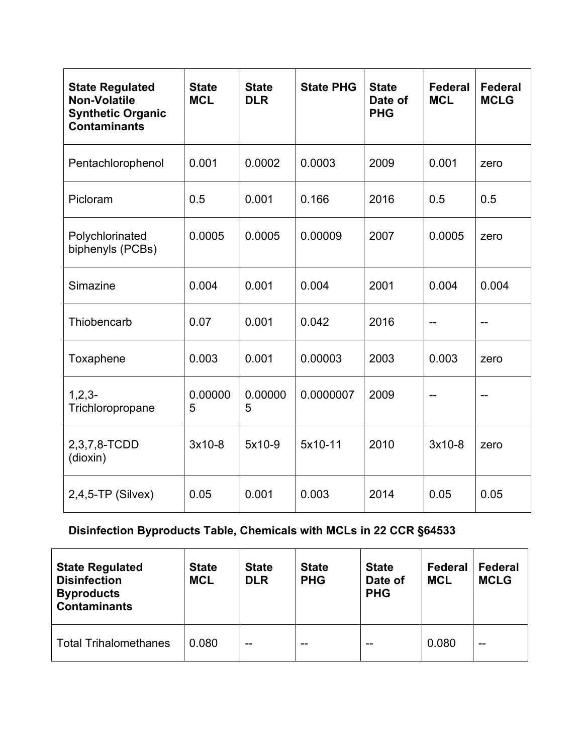| <b>State Regulated</b><br><b>Non-Volatile</b><br><b>Synthetic Organic</b><br><b>Contaminants</b> | <b>State</b><br><b>MCL</b> | <b>State</b><br><b>DLR</b> | <b>State PHG</b> | <b>State</b><br>Date of<br><b>PHG</b> | Federal<br><b>MCL</b> | <b>Federal</b><br><b>MCLG</b> |
|--------------------------------------------------------------------------------------------------|----------------------------|----------------------------|------------------|---------------------------------------|-----------------------|-------------------------------|
| Pentachlorophenol                                                                                | 0.001                      | 0.0002                     | 0.0003           | 2009                                  | 0.001                 | zero                          |
| Picloram                                                                                         | 0.5                        | 0.001                      | 0.166            | 2016                                  | 0.5                   | 0.5                           |
| Polychlorinated<br>biphenyls (PCBs)                                                              | 0.0005                     | 0.0005                     | 0.00009          | 2007                                  | 0.0005                | zero                          |
| Simazine                                                                                         | 0.004                      | 0.001                      | 0.004            | 2001                                  | 0.004                 | 0.004                         |
| Thiobencarb                                                                                      | 0.07                       | 0.001                      | 0.042            | 2016                                  |                       |                               |
| Toxaphene                                                                                        | 0.003                      | 0.001                      | 0.00003          | 2003                                  | 0.003                 | zero                          |
| $1, 2, 3 -$<br>Trichloropropane                                                                  | 0.00000<br>5               | 0.00000<br>5               | 0.0000007        | 2009                                  | $-$                   | --                            |
| 2,3,7,8-TCDD<br>(dioxin)                                                                         | 3x10-8                     | 5x10-9                     | 5x10-11          | 2010                                  | $3x10-8$              | zero                          |
| $2,4,5$ -TP (Silvex)                                                                             | 0.05                       | 0.001                      | 0.003            | 2014                                  | 0.05                  | 0.05                          |

# **Disinfection Byproducts Table, Chemicals with MCLs in 22 CCR §64533**

| <b>State Regulated</b><br><b>Disinfection</b><br><b>Byproducts</b><br><b>Contaminants</b> | <b>State</b><br><b>MCL</b> | <b>State</b><br><b>DLR</b> | <b>State</b><br><b>PHG</b> | <b>State</b><br>Date of<br><b>PHG</b> | <b>Federal</b><br><b>MCL</b> | Federal<br><b>MCLG</b> |
|-------------------------------------------------------------------------------------------|----------------------------|----------------------------|----------------------------|---------------------------------------|------------------------------|------------------------|
| <b>Total Trihalomethanes</b>                                                              | 0.080                      | --                         | --                         | --                                    | 0.080                        | --                     |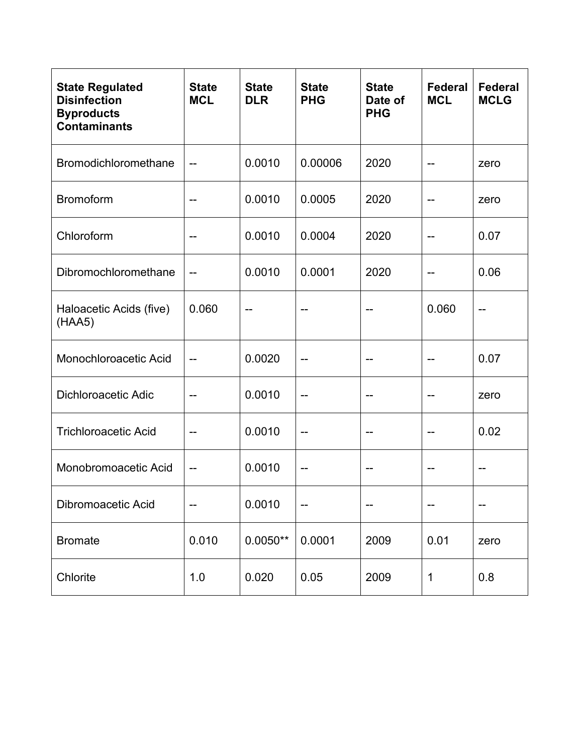| <b>State Regulated</b><br><b>Disinfection</b><br><b>Byproducts</b><br><b>Contaminants</b> | <b>State</b><br><b>MCL</b> | <b>State</b><br><b>DLR</b> | <b>State</b><br><b>PHG</b> | <b>State</b><br>Date of<br><b>PHG</b> | <b>Federal</b><br><b>MCL</b> | <b>Federal</b><br><b>MCLG</b> |
|-------------------------------------------------------------------------------------------|----------------------------|----------------------------|----------------------------|---------------------------------------|------------------------------|-------------------------------|
| Bromodichloromethane                                                                      | --                         | 0.0010                     | 0.00006                    | 2020                                  |                              | zero                          |
| <b>Bromoform</b>                                                                          | --                         | 0.0010                     | 0.0005                     | 2020                                  |                              | zero                          |
| Chloroform                                                                                | --                         | 0.0010                     | 0.0004                     | 2020                                  | --                           | 0.07                          |
| Dibromochloromethane                                                                      | --                         | 0.0010                     | 0.0001                     | 2020                                  | --                           | 0.06                          |
| Haloacetic Acids (five)<br>(HAA5)                                                         | 0.060                      |                            |                            |                                       | 0.060                        |                               |
| Monochloroacetic Acid                                                                     | --                         | 0.0020                     |                            |                                       |                              | 0.07                          |
| <b>Dichloroacetic Adic</b>                                                                | --                         | 0.0010                     | --                         |                                       | --                           | zero                          |
| <b>Trichloroacetic Acid</b>                                                               |                            | 0.0010                     | --                         |                                       | --                           | 0.02                          |
| Monobromoacetic Acid                                                                      | --                         | 0.0010                     |                            |                                       |                              |                               |
| Dibromoacetic Acid                                                                        | --                         | 0.0010                     | --                         | --                                    | --                           | --                            |
| <b>Bromate</b>                                                                            | 0.010                      | $0.0050**$                 | 0.0001                     | 2009                                  | 0.01                         | zero                          |
| Chlorite                                                                                  | 1.0                        | 0.020                      | 0.05                       | 2009                                  | $\mathbf 1$                  | 0.8                           |